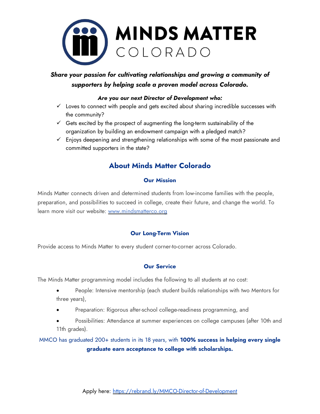

# *Share your passion for cultivating relationships and growing a community of supporters by helping scale a proven model across Colorado.*

### *Are you our next Director of Development who:*

- $\checkmark$  Loves to connect with people and gets excited about sharing incredible successes with the community?
- $\checkmark$  Gets excited by the prospect of augmenting the long-term sustainability of the organization by building an endowment campaign with a pledged match?
- $\checkmark$  Enjoys deepening and strengthening relationships with some of the most passionate and committed supporters in the state?

# **About Minds Matter Colorado**

### **Our Mission**

Minds Matter connects driven and determined students from low-income families with the people, preparation, and possibilities to succeed in college, create their future, and change the world. To learn more visit our website: [www.mindsmatterco.org](file:///C:/Users/Kate%20Brenan/Downloads/www.mindsmatterco.org)

### **Our Long-Term Vision**

Provide access to Minds Matter to every student corner-to-corner across Colorado.

### **Our Service**

The Minds Matter programming model includes the following to all students at no cost:

- People: Intensive mentorship (each student builds relationships with two Mentors for three years),
- Preparation: Rigorous after-school college-readiness programming, and
- Possibilities: Attendance at summer experiences on college campuses (after 10th and 11th grades).

MMCO has graduated 200+ students in its 18 years, with **100% success in helping every single graduate earn acceptance to college** *with* **scholarships.**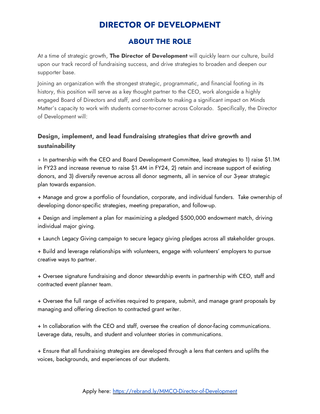# **DIRECTOR OF DEVELOPMENT**

### **ABOUT THE ROLE**

At a time of strategic growth, **The Director of Development** will quickly learn our culture, build upon our track record of fundraising success, and drive strategies to broaden and deepen our supporter base.

Joining an organization with the strongest strategic, programmatic, and financial footing in its history, this position will serve as a key thought partner to the CEO, work alongside a highly engaged Board of Directors and staff, and contribute to making a significant impact on Minds Matter's capacity to work with students corner-to-corner across Colorado. Specifically, the Director of Development will:

### **Design, implement, and lead fundraising strategies that drive growth and sustainability**

+ In partnership with the CEO and Board Development Committee, lead strategies to 1) raise \$1.1M in FY23 and increase revenue to raise \$1.4M in FY24, 2) retain and increase support of existing donors, and 3) diversify revenue across all donor segments, all in service of our 3-year strategic plan towards expansion.

+ Manage and grow a portfolio of foundation, corporate, and individual funders. Take ownership of developing donor-specific strategies, meeting preparation, and follow-up.

+ Design and implement a plan for maximizing a pledged \$500,000 endowment match, driving individual major giving.

+ Launch Legacy Giving campaign to secure legacy giving pledges across all stakeholder groups.

+ Build and leverage relationships with volunteers, engage with volunteers' employers to pursue creative ways to partner.

+ Oversee signature fundraising and donor stewardship events in partnership with CEO, staff and contracted event planner team.

+ Oversee the full range of activities required to prepare, submit, and manage grant proposals by managing and offering direction to contracted grant writer.

+ In collaboration with the CEO and staff, oversee the creation of donor-facing communications. Leverage data, results, and student and volunteer stories in communications.

+ Ensure that all fundraising strategies are developed through a lens that centers and uplifts the voices, backgrounds, and experiences of our students.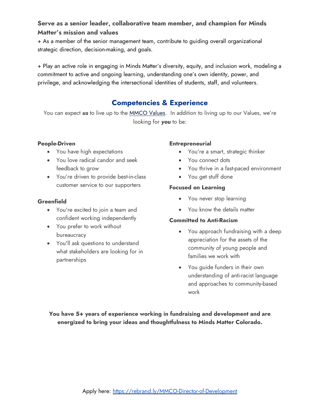### **Serve as a senior leader, collaborative team member, and champion for Minds Matter's mission and values**

+ As a member of the senior management team, contribute to guiding overall organizational strategic direction, decision-making, and goals.

+ Play an active role in engaging in Minds Matter's diversity, equity, and inclusion work, modeling a commitment to active and ongoing learning, understanding one's own identity, power, and privilege, and acknowledging the intersectional identities of students, staff, and volunteers.

# **Competencies & Experience**

You can expect *us* to live up to the [MMCO](file:///C:/Users/Kate%20Brenan/Documents/Staffing/rebrand.ly/MMCOValues) Values. In addition to living up to our Values, we're looking for *you* to be:

### **People-Driven**

- You have high expectations
- You love radical candor and seek feedback to grow
- You're driven to provide best-in-class customer service to our supporters

### **Greenfield**

- You're excited to join a team and confident working independently
- You prefer to work without bureaucracy
- You'll ask questions to understand what stakeholders are looking for in partnerships

### **Entrepreneurial**

- You're a smart, strategic thinker
- You connect dots
- You thrive in a fast-paced environment
- You get stuff done

### **Focused on Learning**

- You never stop learning
- You know the details matter

### **Committed to Anti-Racism**

- You approach fundraising with a deep appreciation for the assets of the community of young people and families we work with
- You guide funders in their own understanding of anti-racist language and approaches to community-based work

**You have 5+ years of experience working in fundraising and development and are energized to bring your ideas and thoughtfulness to Minds Matter Colorado.**